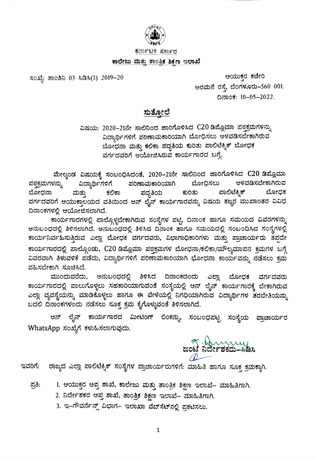

ಕರ್ನಾಟಕ ಸರ್ಕಾರ

#### ಕಾಲೇಜು ಮತ್ತು ತಾಂತ್ರಿಕ ಶಿಕ್ಷಣ ಇಲಾಖೆ

ಸಂಖ್ಯೆ: ತಾಂಶಿನಿ 03 ಸಿಡಿಸಿ(1) 2019–20

ಆಯುಕ್ತರ ಕಚೇರಿ<br>.eರಮನೆ ರಸ್ತೆ, ಬೆಂಗಳೂರು–560 001. ದಿನಾಂಕ: 10-05-2022.

# <u>ಸುತ್ತೋಲೆ</u>

ವಿಷಯ: 2020–21ನೇ ಸಾಲಿನಿಂದ ಜಾರಿಗೊಳಿಸಿದ C20 ಡಿಮ್ಲೊಮಾ ಪಠ್ತಕ್ರಮಗಳನ್ನು<br>ವಿದ್ಯಾರ್ಥಿಗಳಿಗೆ ಪರಿಣಾಮಕಾರಿಯಾಗಿ ಬೋಧಿಸಲು ಅಳವಡಿಸಬೇಕಾಗಿರುವ ಬೋಧನಾ ಮತ್ತು ಕಲಿಕಾ ಪದ್ಧತಿಯ ಕುರಿತು ಪಾಲಿಟೆಕ್ನಿಕ್ ಬೋಧಕ ವರ್ಗದವರಿಗೆ ಆಯೋಜಿಸಿರುವ ಕಾರ್ಯಗಾರದ ಬಗ್ಗೆ.

ಮೇಲ್ಕಂಡ ವಿಷಯಕ್ಕೆ ಸಂಬಂಧಿಸಿದಂತೆ, 2020–21ನೇ ಸಾಲಿನಿಂದ ಜಾರಿಗೊಳಿಸಿದ C20 ಡಿಪ್ಲೊಮಾ<br>ಳನ್ನು ವಿದ್ಯಾರ್ಥಿಗಳಿಗೆ ಪರಿಣಾಮಕಾರಿಯಾಗಿ ಬೋಧಿಸಲು ಅಳವಡಿಸಬೇಕಾಗಿರುವ ಪಠಕ್ರಮಗಳನ್ನು ಅಳವಡಿಸಬೇಕಾಗಿರುವ ಕುರಿತು ಪಾಲಿಟೆಕ್ನಿಕ್ ಬೋಧಕ ಬೋಧನಾ ಮತ್ತು ಕಲಿಕಾ ಪದ್ಧತಿಯ ವರ್ಗದವರಿಗೆ ಆಯುಕ್ತಾಲಯದ ವತಿಯಿಂದ ಆನ್ ಲೈನ್ ಕಾರ್ಯಗಾರವನ್ನು ವಿಷಯ ತಜ್ಞರ ಮುಖಾಂತರ ವಿವಿಧ ದಿನಾಂಕಗಳಲ್ಲಿ ಆಯೋಜಿಸಲಾಗಿದೆ.

ಕಾರ್ಯಗಾರಗಳಲ್ಲಿ ಪಾಲ್ಗೊಳ್ಳಬೇಕಾಗಿರುವ ಸಂಸ್ಥೆಗಳ ಪಟ್ಟಿ, ದಿನಾಂಕ ಹಾಗೂ ಸಮಯದ ವಿವರಗಳನ್ನು ಅನುಬಂಧದಲ್ಲಿ ತಿಳಿಸಲಾಗಿದೆ. ಅನುಬಂಧದಲ್ಲಿ ತಿಳಿಸಿದ ದಿನಾಂಕ ಹಾಗೂ ಸಮಯದಲ್ಲಿ ಸಂಬಂದಿಸಿದ ಸಂಸ್ಥೆಗಳಲ್ಲಿ ಕಾರ್ಯನಿರ್ವಹಿಸುತ್ತಿರುವ ಎಲ್ಲಾ ಬೋಧಕ ವರ್ಗದವರು, ವಿಭಾಗಾಧಿಕಾರಿಗಳು ಮತ್ತು ಪ್ರಾಚಾರ್ಯರು ತಪ್ಪದೇ<br>ಕಾರ್ಯಗಾರದಲ್ಲಿ ಪಾಲ್ಗೊಂಡು, C20 ಡಿಪ್ಲೊಮಾ ಪಠ್ತಕ್ರಮಗಳ ಬೋಧನಾ/ಕಲಿಕಾ/ಮೌಲ್ಯಮಾಪನ ಕ್ರಮಗಳ ಬಗ್ಗೆ<br>ವಿವರವಾಗಿ ತಿಳುವಳಿಕೆ ಪಡೆದು, ವಿದ್ಯಾರ್ಥಿಗಳಿಗೆ ಪರಿಣಾಮಕಾರಿಯ

ವಹಿಸಬೇಕಾಗಿ ಸೂಚಿಸಿದೆ.<br>ಮುಂದುವರೆದು, ಅನುಬಂಧದಲ್ಲಿ ತಿಳಿಸಿದ ದಿನಾಂಕದಂದು ಎಲ್ಲಾ ಬೋಧಕ ವರ್ಗದವರು<br>ಕಾರ್ಯಗಾರದಲ್ಲಿ ಪಾಲುಗೊಳ್ಳಲು ಸಹಕಾರಿಯಾಗುವಂತೆ ಸಂಸ್ಥೆಯಲ್ಲಿ ಆನ್ ಲೈನ್ ಕಾರ್ಯಗಾರಕ್ಕೆ ಬೇಕಾಗಿರುವ ಎಲ್ಲಾ ವ್ಯವಸ್ಥೆಯನ್ನು ಮಾಡಿಕೊಳ್ಳಲು ಹಾಗೂ ಈ ವೇಳೆಯಲ್ಲಿ ನಿಗಧಿಯಾಗಿರುವ ವಿದ್ಯಾರ್ಥಿಗಳ ತರಬೇತಿಯನ್ನು ಬದಲಿ ದಿನಾಂಕಗಳಂದು ನಡೆಸಲು ಸೂಕ್ತ ಕ್ರಮ ಕೈಗೊಳ್ಳುವಂತೆ ತಿಳಿಸಲಾಗಿದೆ.

ಆನ್ ಲೈನ್ ಕಾರ್ಯಗಾರದ ಮೀಟಿಂಗ್ ಲಿಂಕನ್ನು, ಸಂಬಂಧಪಟ್ಟ ಸಂಸ್ಥೆಯ ಪ್ರಾಚಾರ್ಯರ WhatsApp ಸಂಖ್ಯೆಗೆ ಕಳುಹಿಸಲಾಗುವುದು.

www

ಇವರಿಗೆ: ರಾಜ್ಯದ ಎಲ್ಲಾ ಪಾಲಿಟೆಕ್ನಿಕ್ ಸಂಸ್ಥೆಗಳ ಪ್ರಾಚಾರ್ಯರುಗಳಿಗೆ: ಮಾಹಿತಿ ಹಾಗೂ ಸೂಕ್ತ ಕ್ರಮಕ್ಕಾಗಿ.

- 1. ಆಯುಕ್ತರ ಆಪ್ತ ಶಾಖೆ, ಕಾಲೇಜು ಮತ್ತು ತಾಂತ್ರಿಕ ಶಿಕ್ಷಣ ಇಲಾಖೆ– ಮಾಹಿತಿಗಾಗಿ. ಪ್ರತಿ:
	- 2. ನಿರ್ದೇಶಕರ ಆಪ್ತ ಶಾಖೆ, ತಾಂತ್ರಿಕ ಶಿಕ್ಷಣ ಇಲಾಖೆ– ಮಾಹಿತಿಗಾಗಿ.
	- 3. ಇ–ಗೌವರ್ನೆನ್ಸ್ ವಿಭಾಗ– ಇಲಾಖಾ ವೆಬ್ಸೆಟ್ನಲ್ಲಿ ಪ್ರಕಟಿಸಲು.

1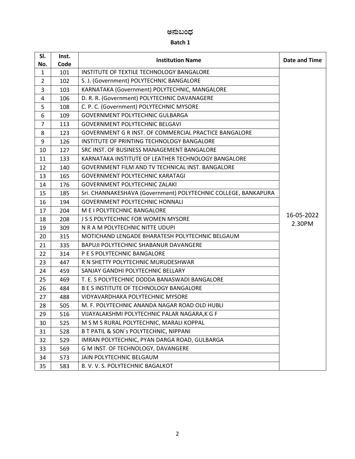# ಅನುಬಂಧ

| SI.<br>No.     | Inst.<br>Code | <b>Institution Name</b>                                        | Date and Time |
|----------------|---------------|----------------------------------------------------------------|---------------|
| $\mathbf{1}$   | 101           | INSTITUTE OF TEXTILE TECHNOLOGY BANGALORE                      |               |
| $\overline{2}$ | 102           | S. J. (Government) POLYTECHNIC BANGALORE                       |               |
| 3              | 103           | KARNATAKA (Government) POLYTECHNIC, MANGALORE                  |               |
| 4              | 106           | D. R. R. (Government) POLYTECHNIC DAVANAGERE                   |               |
| 5              | 108           | C. P. C. (Government) POLYTECHNIC MYSORE                       |               |
| 6              | 109           | <b>GOVERNMENT POLYTECHNIC GULBARGA</b>                         |               |
| $\overline{7}$ | 113           | <b>GOVERNMENT POLYTECHNIC BELGAVI</b>                          |               |
| 8              | 123           | GOVERNMENT G R INST. OF COMMERCIAL PRACTICE BANGALORE          |               |
| 9              | 126           | INSTITUTE OF PRINTING TECHNOLOGY BANGALORE                     |               |
| 10             | 127           | SRC INST. OF BUSINESS MANAGEMENT BANGALORE                     |               |
| 11             | 133           | KARNATAKA INSTITUTE OF LEATHER TECHNOLOGY BANGALORE            |               |
| 12             | 140           | GOVERNMENT FILM AND TV TECHNICAL INST. BANGALORE               |               |
| 13             | 165           | <b>GOVERNMENT POLYTECHNIC KARATAGI</b>                         |               |
| 14             | 176           | <b>GOVERNMENT POLYTECHNIC ZALAKI</b>                           |               |
| 15             | 185           | Sri. CHANNAKESHAVA (Government) POLYTECHNIC COLLEGE, BANKAPURA |               |
| 16             | 194           | <b>GOVERNMENT POLYTECHNIC HONNALI</b>                          |               |
| 17             | 204           | M E I POLYTECHNIC BANGALORE                                    | 16-05-2022    |
| 18             | 208           | <b>J S S POLYTECHNIC FOR WOMEN MYSORE</b>                      | 2.30PM        |
| 19             | 309           | N R A M POLYTECHNIC NITTE UDUPI                                |               |
| 20             | 315           | MOTICHAND LENGADE BHARATESH POLYTECHNIC BELGAUM                |               |
| 21             | 335           | BAPUJI POLYTECHNIC SHABANUR DAVANGERE                          |               |
| 22             | 314           | P E S POLYTECHNIC BANGALORE                                    |               |
| 23             | 447           | R N SHETTY POLYTECHNIC MURUDESHWAR                             |               |
| 24             | 459           | SANJAY GANDHI POLYTECHNIC BELLARY                              |               |
| 25             | 469           | T. E. S POLYTECHNIC DODDA BANASWADI BANGALORE                  |               |
| 26             | 484           | <b>B E S INSTITUTE OF TECHNOLOGY BANGALORE</b>                 |               |
| 27             | 488           | <b>VIDYAVARDHAKA POLYTECHNIC MYSORE</b>                        |               |
| 28             | 505           | M. F. POLYTECHNIC ANANDA NAGAR ROAD OLD HUBLI                  |               |
| 29             | 516           | VIJAYALAKSHMI POLYTECHNIC PALAR NAGARA,K G F                   |               |
| 30             | 525           | M S M S RURAL POLYTECHNIC, MARALI KOPPAL                       |               |
| 31             | 528           | <b>B T PATIL &amp; SON's POLYTECHNIC, NIPPANI</b>              |               |
| 32             | 529           | IMRAN POLYTECHNIC, PYAN DARGA ROAD, GULBARGA                   |               |
| 33             | 569           | G M INST. OF TECHNOLOGY, DAVANGERE                             |               |
| 34             | 573           | JAIN POLYTECHNIC BELGAUM                                       |               |
| 35             | 583           | B. V. V. S. POLYTECHNIC BAGALKOT                               |               |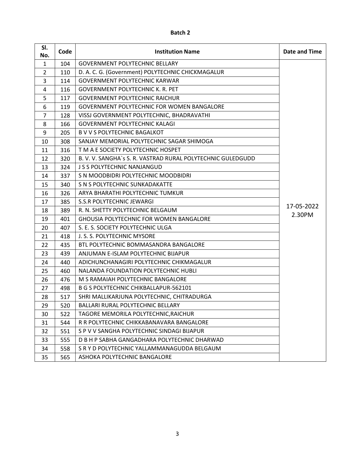| SI.<br>No.     | Code | <b>Institution Name</b>                                     | Date and Time |
|----------------|------|-------------------------------------------------------------|---------------|
| $\mathbf{1}$   | 104  | <b>GOVERNMENT POLYTECHNIC BELLARY</b>                       |               |
| $\overline{2}$ | 110  | D. A. C. G. (Government) POLYTECHNIC CHICKMAGALUR           |               |
| 3              | 114  | <b>GOVERNMENT POLYTECHNIC KARWAR</b>                        |               |
| 4              | 116  | <b>GOVERNMENT POLYTECHNIC K. R. PET</b>                     |               |
| 5              | 117  | <b>GOVERNMENT POLYTECHNIC RAICHUR</b>                       |               |
| 6              | 119  | <b>GOVERNMENT POLYTECHNIC FOR WOMEN BANGALORE</b>           |               |
| 7              | 128  | VISSJ GOVERNMENT POLYTECHNIC, BHADRAVATHI                   |               |
| 8              | 166  | <b>GOVERNMENT POLYTECHNIC KALAGI</b>                        |               |
| 9              | 205  | <b>B V V S POLYTECHNIC BAGALKOT</b>                         |               |
| 10             | 308  | SANJAY MEMORIAL POLYTECHNIC SAGAR SHIMOGA                   |               |
| 11             | 316  | T M A E SOCIETY POLYTECHNIC HOSPET                          |               |
| 12             | 320  | B. V. V. SANGHA's S. R. VASTRAD RURAL POLYTECHNIC GULEDGUDD |               |
| 13             | 324  | J S S POLYTECHNIC NANJANGUD                                 |               |
| 14             | 337  | S N MOODBIDRI POLYTECHNIC MOODBIDRI                         |               |
| 15             | 340  | S N S POLYTECHNIC SUNKADAKATTE                              |               |
| 16             | 326  | ARYA BHARATHI POLYTECHNIC TUMKUR                            |               |
| 17             | 385  | <b>S.S.R POLYTECHNIC JEWARGI</b>                            | 17-05-2022    |
| 18             | 389  | R. N. SHETTY POLYTECHNIC BELGAUM                            | 2.30PM        |
| 19             | 401  | <b>GHOUSIA POLYTECHNIC FOR WOMEN BANGALORE</b>              |               |
| 20             | 407  | S. E. S. SOCIETY POLYTECHNIC ULGA                           |               |
| 21             | 418  | J. S. S. POLYTECHNIC MYSORE                                 |               |
| 22             | 435  | BTL POLYTECHNIC BOMMASANDRA BANGALORE                       |               |
| 23             | 439  | ANJUMAN E-ISLAM POLYTECHNIC BIJAPUR                         |               |
| 24             | 440  | ADICHUNCHANAGIRI POLYTECHNIC CHIKMAGALUR                    |               |
| 25             | 460  | NALANDA FOUNDATION POLYTECHNIC HUBLI                        |               |
| 26             | 476  | M S RAMAIAH POLYTECHNIC BANGALORE                           |               |
| 27             | 498  | <b>B G S POLYTECHNIC CHIKBALLAPUR-562101</b>                |               |
| 28             | 517  | SHRI MALLIKARJUNA POLYTECHNIC, CHITRADURGA                  |               |
| 29             | 520  | <b>BALLARI RURAL POLYTECHNIC BELLARY</b>                    |               |
| 30             | 522  | TAGORE MEMORILA POLYTECHNIC, RAICHUR                        |               |
| 31             | 544  | R R POLYTECHNIC CHIKKABANAVARA BANGALORE                    |               |
| 32             | 551  | S P V V SANGHA POLYTECHNIC SINDAGI BIJAPUR                  |               |
| 33             | 555  | D B H P SABHA GANGADHARA POLYTECHNIC DHARWAD                |               |
| 34             | 558  | S R Y D POLYTECHNIC YALLAMMANAGUDDA BELGAUM                 |               |
| 35             | 565  | ASHOKA POLYTECHNIC BANGALORE                                |               |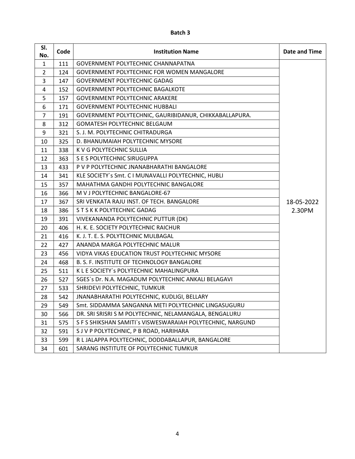| SI.<br>No.     | Code | <b>Institution Name</b>                                    | Date and Time |
|----------------|------|------------------------------------------------------------|---------------|
| $\mathbf{1}$   | 111  | GOVERNMENT POLYTECHNIC CHANNAPATNA                         |               |
| $\overline{2}$ | 124  | <b>GOVERNMENT POLYTECHNIC FOR WOMEN MANGALORE</b>          |               |
| 3              | 147  | <b>GOVERNMENT POLYTECHNIC GADAG</b>                        |               |
| 4              | 152  | <b>GOVERNMENT POLYTECHNIC BAGALKOTE</b>                    |               |
| 5              | 157  | <b>GOVERNMENT POLYTECHNIC ARAKERE</b>                      |               |
| 6              | 171  | <b>GOVERNMENT POLYTECHNIC HUBBALI</b>                      |               |
| 7              | 191  | GOVERNMENT POLYTECHNIC, GAURIBIDANUR, CHIKKABALLAPURA.     |               |
| 8              | 312  | <b>GOMATESH POLYTECHNIC BELGAUM</b>                        |               |
| 9              | 321  | S. J. M. POLYTECHNIC CHITRADURGA                           |               |
| 10             | 325  | D. BHANUMAIAH POLYTECHNIC MYSORE                           |               |
| 11             | 338  | K V G POLYTECHNIC SULLIA                                   |               |
| 12             | 363  | S E S POLYTECHNIC SIRUGUPPA                                |               |
| 13             | 433  | P V P POLYTECHNIC JNANABHARATHI BANGALORE                  |               |
| 14             | 341  | KLE SOCIETY's Smt. C I MUNAVALLI POLYTECHNIC, HUBLI        |               |
| 15             | 357  | MAHATHMA GANDHI POLYTECHNIC BANGALORE                      |               |
| 16             | 366  | M V J POLYTECHNIC BANGALORE-67                             |               |
| 17             | 367  | SRI VENKATA RAJU INST. OF TECH. BANGALORE                  | 18-05-2022    |
| 18             | 386  | S T S K K POLYTECHNIC GADAG                                | 2.30PM        |
| 19             | 391  | VIVEKANANDA POLYTECHNIC PUTTUR (DK)                        |               |
| 20             | 406  | H. K. E. SOCIETY POLYTECHNIC RAICHUR                       |               |
| 21             | 416  | K. J. T. E. S. POLYTECHNIC MULBAGAL                        |               |
| 22             | 427  | ANANDA MARGA POLYTECHNIC MALUR                             |               |
| 23             | 456  | VIDYA VIKAS EDUCATION TRUST POLYTECHNIC MYSORE             |               |
| 24             | 468  | B. S. F. INSTITUTE OF TECHNOLOGY BANGALORE                 |               |
| 25             | 511  | K L E SOCIETY's POLYTECHNIC MAHALINGPURA                   |               |
| 26             | 527  | SGES's Dr. N.A. MAGADUM POLYTECHNIC ANKALI BELAGAVI        |               |
| 27             | 533  | SHRIDEVI POLYTECHNIC, TUMKUR                               |               |
| 28             | 542  | JNANABHARATHI POLYTECHNIC, KUDLIGI, BELLARY                |               |
| 29             | 549  | Smt. SIDDAMMA SANGANNA METI POLYTECHNIC LINGASUGURU        |               |
| 30             | 566  | DR. SRI SRISRI S M POLYTECHNIC, NELAMANGALA, BENGALURU     |               |
| 31             | 575  | S F S SHIKSHAN SAMITI's VISWESWARAIAH POLYTECHNIC, NARGUND |               |
| 32             | 591  | S J V P POLYTECHNIC, P B ROAD, HARIHARA                    |               |
| 33             | 599  | R L JALAPPA POLYTECHNIC, DODDABALLAPUR, BANGALORE          |               |
| 34             | 601  | SARANG INSTITUTE OF POLYTECHNIC TUMKUR                     |               |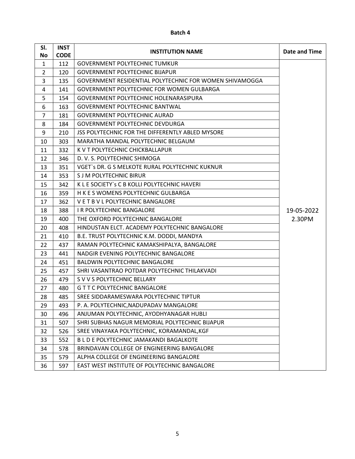| SI.            | <b>INST</b> | <b>INSTITUTION NAME</b>                                 | Date and Time |
|----------------|-------------|---------------------------------------------------------|---------------|
| No             | <b>CODE</b> |                                                         |               |
| $\mathbf{1}$   | 112         | <b>GOVERNMENT POLYTECHNIC TUMKUR</b>                    |               |
| $\overline{2}$ | 120         | <b>GOVERNMENT POLYTECHNIC BIJAPUR</b>                   |               |
| 3              | 135         | GOVERNMENT RESIDENTIAL POLYTECHNIC FOR WOMEN SHIVAMOGGA |               |
| 4              | 141         | <b>GOVERNMENT POLYTECHNIC FOR WOMEN GULBARGA</b>        |               |
| 5              | 154         | GOVERNMENT POLYTECHNIC HOLENARASIPURA                   |               |
| 6              | 163         | <b>GOVERNMENT POLYTECHNIC BANTWAL</b>                   |               |
| $\overline{7}$ | 181         | <b>GOVERNMENT POLYTECHNIC AURAD</b>                     |               |
| 8              | 184         | <b>GOVERNMENT POLYTECHNIC DEVDURGA</b>                  |               |
| 9              | 210         | JSS POLYTECHNIC FOR THE DIFFERENTLY ABLED MYSORE        |               |
| 10             | 303         | MARATHA MANDAL POLYTECHNIC BELGAUM                      |               |
| 11             | 332         | K V T POLYTECHNIC CHICKBALLAPUR                         |               |
| 12             | 346         | D. V. S. POLYTECHNIC SHIMOGA                            |               |
| 13             | 351         | VGET's DR. G S MELKOTE RURAL POLYTECHNIC KUKNUR         |               |
| 14             | 353         | <b>S J M POLYTECHNIC BIRUR</b>                          |               |
| 15             | 342         | K L E SOCIETY's C B KOLLI POLYTECHNIC HAVERI            |               |
| 16             | 359         | H K E S WOMENS POLYTECHNIC GULBARGA                     |               |
| 17             | 362         | VET B V L POLYTECHNIC BANGALORE                         |               |
| 18             | 388         | <b>IR POLYTECHNIC BANGALORE</b>                         | 19-05-2022    |
| 19             | 400         | THE OXFORD POLYTECHNIC BANGALORE                        | 2.30PM        |
| 20             | 408         | HINDUSTAN ELCT. ACADEMY POLYTECHNIC BANGALORE           |               |
| 21             | 410         | B.E. TRUST POLYTECHNIC K.M. DODDI, MANDYA               |               |
| 22             | 437         | RAMAN POLYTECHNIC KAMAKSHIPALYA, BANGALORE              |               |
| 23             | 441         | NADGIR EVENING POLYTECHNIC BANGALORE                    |               |
| 24             | 451         | <b>BALDWIN POLYTECHNIC BANGALORE</b>                    |               |
| 25             | 457         | SHRI VASANTRAO POTDAR POLYTECHNIC THILAKVADI            |               |
| 26             | 479         | S V V S POLYTECHNIC BELLARY                             |               |
| 27             | 480         | <b>G T T C POLYTECHNIC BANGALORE</b>                    |               |
| 28             | 485         | SREE SIDDARAMESWARA POLYTECHNIC TIPTUR                  |               |
| 29             | 493         | P. A. POLYTECHNIC, NADUPADAV MANGALORE                  |               |
| 30             | 496         | ANJUMAN POLYTECHNIC, AYODHYANAGAR HUBLI                 |               |
| 31             | 507         | SHRI SUBHAS NAGUR MEMORIAL POLYTECHNIC BIJAPUR          |               |
| 32             | 526         | SREE VINAYAKA POLYTECHNIC, KORAMANDAL, KGF              |               |
| 33             | 552         | B L D E POLYTECHNIC JAMAKANDI BAGALKOTE                 |               |
| 34             | 578         | BRINDAVAN COLLEGE OF ENGINEERING BANGALORE              |               |
| 35             | 579         | ALPHA COLLEGE OF ENGINEERING BANGALORE                  |               |
| 36             | 597         | EAST WEST INSTITUTE OF POLYTECHNIC BANGALORE            |               |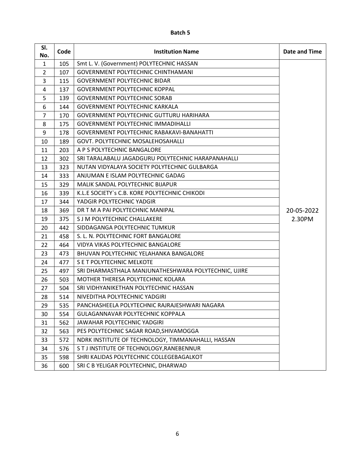| SI.<br>No.     | Code | <b>Institution Name</b>                              | Date and Time |
|----------------|------|------------------------------------------------------|---------------|
| $\mathbf{1}$   | 105  | Smt L. V. (Government) POLYTECHNIC HASSAN            |               |
| $\overline{2}$ | 107  | <b>GOVERNMENT POLYTECHNIC CHINTHAMANI</b>            |               |
| 3              | 115  | <b>GOVERNMENT POLYTECHNIC BIDAR</b>                  |               |
| 4              | 137  | <b>GOVERNMENT POLYTECHNIC KOPPAL</b>                 |               |
| 5              | 139  | <b>GOVERNMENT POLYTECHNIC SORAB</b>                  |               |
| 6              | 144  | <b>GOVERNMENT POLYTECHNIC KARKALA</b>                |               |
| 7              | 170  | GOVERNMENT POLYTECHNIC GUTTURU HARIHARA              |               |
| 8              | 175  | <b>GOVERNMENT POLYTECHNIC IMMADIHALLI</b>            |               |
| 9              | 178  | <b>GOVERNMENT POLYTECHNIC RABAKAVI-BANAHATTI</b>     |               |
| 10             | 189  | GOVT. POLYTECHNIC MOSALEHOSAHALLI                    |               |
| 11             | 203  | A P S POLYTECHNIC BANGALORE                          |               |
| 12             | 302  | SRI TARALABALU JAGADGURU POLYTECHNIC HARAPANAHALLI   |               |
| 13             | 323  | NUTAN VIDYALAYA SOCIETY POLYTECHNIC GULBARGA         |               |
| 14             | 333  | ANJUMAN E ISLAM POLYTECHNIC GADAG                    |               |
| 15             | 329  | MALIK SANDAL POLYTECHNIC BIJAPUR                     |               |
| 16             | 339  | K.L.E SOCIETY's C.B. KORE POLYTECHNIC CHIKODI        |               |
| 17             | 344  | YADGIR POLYTECHNIC YADGIR                            |               |
| 18             | 369  | DR T M A PAI POLYTECHNIC MANIPAL                     | 20-05-2022    |
| 19             | 375  | S J M POLYTECHNIC CHALLAKERE                         | 2.30PM        |
| 20             | 442  | SIDDAGANGA POLYTECHNIC TUMKUR                        |               |
| 21             | 458  | S. L. N. POLYTECHNIC FORT BANGALORE                  |               |
| 22             | 464  | VIDYA VIKAS POLYTECHNIC BANGALORE                    |               |
| 23             | 473  | BHUVAN POLYTECHNIC YELAHANKA BANGALORE               |               |
| 24             | 477  | S E T POLYTECHNIC MELKOTE                            |               |
| 25             | 497  | SRI DHARMASTHALA MANJUNATHESHWARA POLYTECHNIC, UJIRE |               |
| 26             | 503  | MOTHER THERESA POLYTECHNIC KOLARA                    |               |
| 27             | 504  | SRI VIDHYANIKETHAN POLYTECHNIC HASSAN                |               |
| 28             | 514  | NIVEDITHA POLYTECHNIC YADGIRI                        |               |
| 29             | 535  | PANCHASHEELA POLYTECHNIC RAJRAJESHWARI NAGARA        |               |
| 30             | 554  | GULAGANNAVAR POLYTECHNIC KOPPALA                     |               |
| 31             | 562  | JAWAHAR POLYTECHNIC YADGIRI                          |               |
| 32             | 563  | PES POLYTECHNIC SAGAR ROAD, SHIVAMOGGA               |               |
| 33             | 572  | NDRK INSTITUTE OF TECHNOLOGY, TIMMANAHALLI, HASSAN   |               |
| 34             | 576  | S T J INSTITUTE OF TECHNOLOGY, RANEBENNUR            |               |
| 35             | 598  | SHRI KALIDAS POLYTECHNIC COLLEGEBAGALKOT             |               |
| 36             | 600  | SRI C B YELIGAR POLYTECHNIC, DHARWAD                 |               |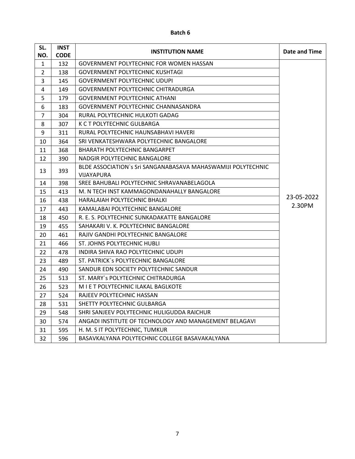| SL.            | <b>INST</b> | <b>INSTITUTION NAME</b>                                      | Date and Time |
|----------------|-------------|--------------------------------------------------------------|---------------|
| NO.            | <b>CODE</b> |                                                              |               |
| $\mathbf{1}$   | 132         | <b>GOVERNMENT POLYTECHNIC FOR WOMEN HASSAN</b>               |               |
| $\overline{2}$ | 138         | GOVERNMENT POLYTECHNIC KUSHTAGI                              |               |
| 3              | 145         | <b>GOVERNMENT POLYTECHNIC UDUPI</b>                          |               |
| 4              | 149         | <b>GOVERNMENT POLYTECHNIC CHITRADURGA</b>                    |               |
| 5              | 179         | <b>GOVERNMENT POLYTECHNIC ATHANI</b>                         |               |
| 6              | 183         | GOVERNMENT POLYTECHNIC CHANNASANDRA                          |               |
| $\overline{7}$ | 304         | RURAL POLYTECHNIC HULKOTI GADAG                              |               |
| 8              | 307         | K C T POLYTECHNIC GULBARGA                                   |               |
| 9              | 311         | RURAL POLYTECHNIC HAUNSABHAVI HAVERI                         |               |
| 10             | 364         | SRI VENKATESHWARA POLYTECHNIC BANGALORE                      |               |
| 11             | 368         | BHARATH POLYTECHNIC BANGARPET                                |               |
| 12             | 390         | NADGIR POLYTECHNIC BANGALORE                                 |               |
| 13             | 393         | BLDE ASSOCIATION's Sri SANGANABASAVA MAHASWAMIJI POLYTECHNIC |               |
|                |             | <b>VIJAYAPURA</b>                                            |               |
| 14             | 398         | SREE BAHUBALI POLYTECHNIC SHRAVANABELAGOLA                   |               |
| 15             | 413         | M. N TECH INST KAMMAGONDANAHALLY BANGALORE                   | 23-05-2022    |
| 16             | 438         | HARALAIAH POLYTECHNIC BHALKI                                 | 2.30PM        |
| 17             | 443         | KAMALABAI POLYTECHNIC BANGALORE                              |               |
| 18             | 450         | R. E. S. POLYTECHNIC SUNKADAKATTE BANGALORE                  |               |
| 19             | 455         | SAHAKARI V. K. POLYTECHNIC BANGALORE                         |               |
| 20             | 461         | RAJIV GANDHI POLYTECHNIC BANGALORE                           |               |
| 21             | 466         | ST. JOHNS POLYTECHNIC HUBLI                                  |               |
| 22             | 478         | INDIRA SHIVA RAO POLYTECHNIC UDUPI                           |               |
| 23             | 489         | ST. PATRICK's POLYTECHNIC BANGALORE                          |               |
| 24             | 490         | SANDUR EDN SOCIETY POLYTECHNIC SANDUR                        |               |
| 25             | 513         | ST. MARY's POLYTECHNIC CHITRADURGA                           |               |
| 26             | 523         | M I E T POLYTECHNIC ILAKAL BAGLKOTE                          |               |
| 27             | 524         | RAJEEV POLYTECHNIC HASSAN                                    |               |
| 28             | 531         | SHETTY POLYTECHNIC GULBARGA                                  |               |
| 29             | 548         | SHRI SANJEEV POLYTECHNIC HULIGUDDA RAICHUR                   |               |
| 30             | 574         | ANGADI INSTITUTE OF TECHNOLOGY AND MANAGEMENT BELAGAVI       |               |
| 31             | 595         | H. M. S IT POLYTECHNIC, TUMKUR                               |               |
| 32             | 596         | BASAVKALYANA POLYTECHNIC COLLEGE BASAVAKALYANA               |               |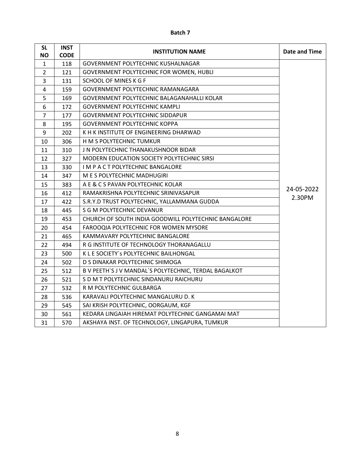| SL             | <b>INST</b> | <b>INSTITUTION NAME</b>                               | Date and Time |
|----------------|-------------|-------------------------------------------------------|---------------|
| NO.            | <b>CODE</b> |                                                       |               |
| 1              | 118         | GOVERNMENT POLYTECHNIC KUSHALNAGAR                    |               |
| $\overline{2}$ | 121         | GOVERNMENT POLYTECHNIC FOR WOMEN, HUBLI               |               |
| 3              | 131         | <b>SCHOOL OF MINES K G F</b>                          |               |
| 4              | 159         | GOVERNMENT POLYTECHNIC RAMANAGARA                     |               |
| 5              | 169         | GOVERNMENT POLYTECHNIC BALAGANAHALLI KOLAR            |               |
| 6              | 172         | <b>GOVERNMENT POLYTECHNIC KAMPLI</b>                  |               |
| $\overline{7}$ | 177         | <b>GOVERNMENT POLYTECHNIC SIDDAPUR</b>                |               |
| 8              | 195         | <b>GOVERNMENT POLYTECHNIC KOPPA</b>                   |               |
| 9              | 202         | K H K INSTITUTE OF ENGINEERING DHARWAD                |               |
| 10             | 306         | H M S POLYTECHNIC TUMKUR                              |               |
| 11             | 310         | J N POLYTECHNIC THANAKUSHNOOR BIDAR                   |               |
| 12             | 327         | MODERN EDUCATION SOCIETY POLYTECHNIC SIRSI            |               |
| 13             | 330         | I M P A C T POLYTECHNIC BANGALORE                     |               |
| 14             | 347         | M E S POLYTECHNIC MADHUGIRI                           |               |
| 15             | 383         | A E & C S PAVAN POLYTECHNIC KOLAR                     |               |
| 16             | 412         | RAMAKRISHNA POLYTECHNIC SRINIVASAPUR                  | 24-05-2022    |
| 17             | 422         | S.R.Y.D TRUST POLYTECHNIC, YALLAMMANA GUDDA           | 2.30PM        |
| 18             | 445         | <b>S G M POLYTECHNIC DEVANUR</b>                      |               |
| 19             | 453         | CHURCH OF SOUTH INDIA GOODWILL POLYTECHNIC BANGALORE  |               |
| 20             | 454         | FAROOQIA POLYTECHNIC FOR WOMEN MYSORE                 |               |
| 21             | 465         | KAMMAVARY POLYTECHNIC BANGALORE                       |               |
| 22             | 494         | R G INSTITUTE OF TECHNOLOGY THORANAGALLU              |               |
| 23             | 500         | K L E SOCIETY's POLYTECHNIC BAILHONGAL                |               |
| 24             | 502         | D S DINAKAR POLYTECHNIC SHIMOGA                       |               |
| 25             | 512         | B V PEETH'S J V MANDAL'S POLYTECHNIC, TERDAL BAGALKOT |               |
| 26             | 521         | S D M T POLYTECHNIC SINDANURU RAICHURU                |               |
| 27             | 532         | R M POLYTECHNIC GULBARGA                              |               |
| 28             | 536         | KARAVALI POLYTECHNIC MANGALURU D. K                   |               |
| 29             | 545         | SAI KRISH POLYTECHNIC, OORGAUM, KGF                   |               |
| 30             | 561         | KEDARA LINGAIAH HIREMAT POLYTECHNIC GANGAMAI MAT      |               |
| 31             | 570         | AKSHAYA INST. OF TECHNOLOGY, LINGAPURA, TUMKUR        |               |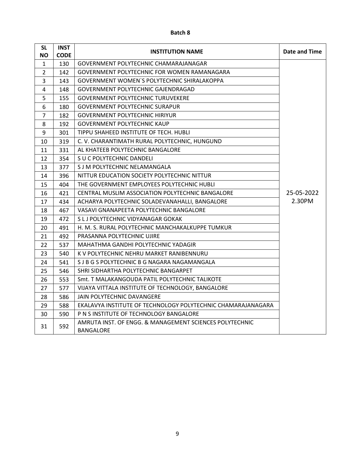| <b>SL</b><br>ΝO | <b>INST</b><br><b>CODE</b> | <b>INSTITUTION NAME</b>                                              | Date and Time |
|-----------------|----------------------------|----------------------------------------------------------------------|---------------|
| 1               | 130                        | GOVERNMENT POLYTECHNIC CHAMARAJANAGAR                                |               |
| $\overline{2}$  | 142                        | GOVERNMENT POLYTECHNIC FOR WOMEN RAMANAGARA                          |               |
| 3               | 143                        | GOVERNMENT WOMEN'S POLYTECHNIC SHIRALAKOPPA                          |               |
| 4               | 148                        | GOVERNMENT POLYTECHNIC GAJENDRAGAD                                   |               |
| 5               | 155                        | <b>GOVERNMENT POLYTECHNIC TURUVEKERE</b>                             |               |
| 6               | 180                        | <b>GOVERNMENT POLYTECHNIC SURAPUR</b>                                |               |
| 7               | 182                        | <b>GOVERNMENT POLYTECHNIC HIRIYUR</b>                                |               |
| 8               | 192                        | <b>GOVERNMENT POLYTECHNIC KAUP</b>                                   |               |
| 9               | 301                        | TIPPU SHAHEED INSTITUTE OF TECH. HUBLI                               |               |
| 10              | 319                        | C.V. CHARANTIMATH RURAL POLYTECHNIC, HUNGUND                         |               |
| 11              | 331                        | AL KHATEEB POLYTECHNIC BANGALORE                                     |               |
| 12              | 354                        | S U C POLYTECHNIC DANDELI                                            |               |
| 13              | 377                        | S J M POLYTECHNIC NELAMANGALA                                        |               |
| 14              | 396                        | NITTUR EDUCATION SOCIETY POLYTECHNIC NITTUR                          |               |
| 15              | 404                        | THE GOVERNMENT EMPLOYEES POLYTECHNIC HUBLI                           |               |
| 16              | 421                        | CENTRAL MUSLIM ASSOCIATION POLYTECHNIC BANGALORE                     | 25-05-2022    |
| 17              | 434                        | ACHARYA POLYTECHNIC SOLADEVANAHALLI, BANGALORE                       | 2.30PM        |
| 18              | 467                        | VASAVI GNANAPEETA POLYTECHNIC BANGALORE                              |               |
| 19              | 472                        | S L J POLYTECHNIC VIDYANAGAR GOKAK                                   |               |
| 20              | 491                        | H. M. S. RURAL POLYTECHNIC MANCHAKALKUPPE TUMKUR                     |               |
| 21              | 492                        | PRASANNA POLYTECHNIC UJIRE                                           |               |
| 22              | 537                        | MAHATHMA GANDHI POLYTECHNIC YADAGIR                                  |               |
| 23              | 540                        | K V POLYTECHNIC NEHRU MARKET RANIBENNURU                             |               |
| 24              | 541                        | S J B G S POLYTECHNIC B G NAGARA NAGAMANGALA                         |               |
| 25              | 546                        | SHRI SIDHARTHA POLYTECHNIC BANGARPET                                 |               |
| 26              | 553                        | Smt. T MALAKANGOUDA PATIL POLYTECHNIC TALIKOTE                       |               |
| 27              | 577                        | VIJAYA VITTALA INSTITUTE OF TECHNOLOGY, BANGALORE                    |               |
| 28              | 586                        | JAIN POLYTECHNIC DAVANGERE                                           |               |
| 29              | 588                        | EKALAVYA INSTITUTE OF TECHNOLOGY POLYTECHNIC CHAMARAJANAGARA         |               |
| 30              | 590                        | P N S INSTITUTE OF TECHNOLOGY BANGALORE                              |               |
| 31              | 592                        | AMRUTA INST. OF ENGG. & MANAGEMENT SCIENCES POLYTECHNIC<br>BANGALORE |               |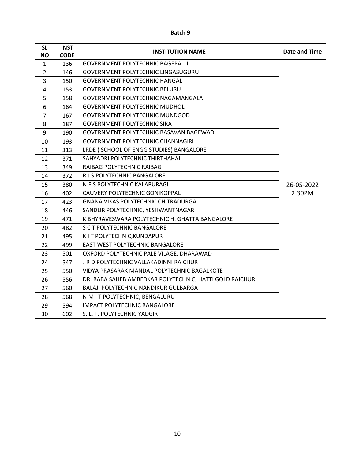| <b>SL</b>      | <b>INST</b> | <b>INSTITUTION NAME</b>                                 | Date and Time |
|----------------|-------------|---------------------------------------------------------|---------------|
| <b>NO</b>      | <b>CODE</b> |                                                         |               |
| $\mathbf{1}$   | 136         | <b>GOVERNMENT POLYTECHNIC BAGEPALLI</b>                 |               |
| $\overline{2}$ | 146         | <b>GOVERNMENT POLYTECHNIC LINGASUGURU</b>               |               |
| 3              | 150         | <b>GOVERNMENT POLYTECHNIC HANGAL</b>                    |               |
| 4              | 153         | <b>GOVERNMENT POLYTECHNIC BELURU</b>                    |               |
| 5              | 158         | GOVERNMENT POLYTECHNIC NAGAMANGALA                      |               |
| 6              | 164         | <b>GOVERNMENT POLYTECHNIC MUDHOL</b>                    |               |
| $\overline{7}$ | 167         | <b>GOVERNMENT POLYTECHNIC MUNDGOD</b>                   |               |
| 8              | 187         | <b>GOVERNMENT POLYTECHNIC SIRA</b>                      |               |
| 9              | 190         | GOVERNMENT POLYTECHNIC BASAVAN BAGEWADI                 |               |
| 10             | 193         | <b>GOVERNMENT POLYTECHNIC CHANNAGIRI</b>                |               |
| 11             | 313         | LRDE ( SCHOOL OF ENGG STUDIES) BANGALORE                |               |
| 12             | 371         | SAHYADRI POLYTECHNIC THIRTHAHALLI                       |               |
| 13             | 349         | RAIBAG POLYTECHNIC RAIBAG                               |               |
| 14             | 372         | R J S POLYTECHNIC BANGALORE                             |               |
| 15             | 380         | N E S POLYTECHNIC KALABURAGI                            | 26-05-2022    |
| 16             | 402         | CAUVERY POLYTECHNIC GONIKOPPAL                          | 2.30PM        |
| 17             | 423         | <b>GNANA VIKAS POLYTECHNIC CHITRADURGA</b>              |               |
| 18             | 446         | SANDUR POLYTECHNIC, YESHWANTNAGAR                       |               |
| 19             | 471         | K BHYRAVESWARA POLYTECHNIC H. GHATTA BANGALORE          |               |
| 20             | 482         | S C T POLYTECHNIC BANGALORE                             |               |
| 21             | 495         | KIT POLYTECHNIC, KUNDAPUR                               |               |
| 22             | 499         | EAST WEST POLYTECHNIC BANGALORE                         |               |
| 23             | 501         | OXFORD POLYTECHNIC PALE VILAGE, DHARAWAD                |               |
| 24             | 547         | J R D POLYTECHNIC VALLAKADINNI RAICHUR                  |               |
| 25             | 550         | VIDYA PRASARAK MANDAL POLYTECHNIC BAGALKOTE             |               |
| 26             | 556         | DR. BABA SAHEB AMBEDKAR POLYTECHNIC, HATTI GOLD RAICHUR |               |
| 27             | 560         | <b>BALAJI POLYTECHNIC NANDIKUR GULBARGA</b>             |               |
| 28             | 568         | N M I T POLYTECHNIC, BENGALURU                          |               |
| 29             | 594         | <b>IMPACT POLYTECHNIC BANGALORE</b>                     |               |
| 30             | 602         | S. L. T. POLYTECHNIC YADGIR                             |               |